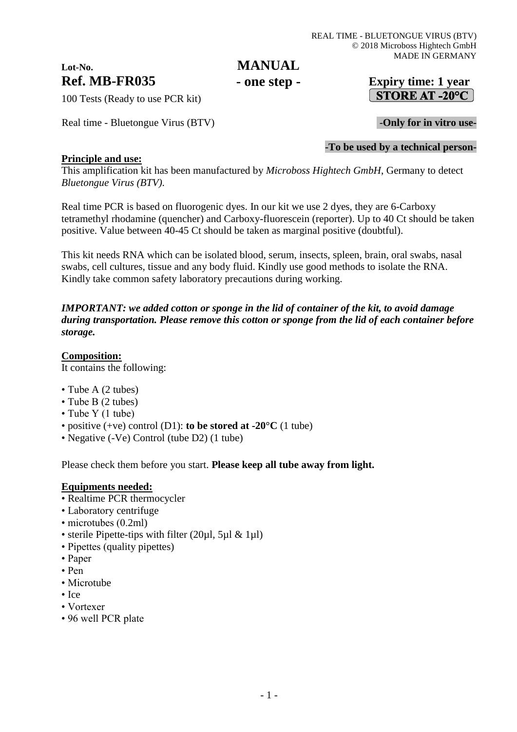# **Lot-No.**

## **MANUAL - one step -**

## **Ref. MB-FR035 Expiry time: 1 year STORE AT -20°C**

100 Tests (Ready to use PCR kit)

Real time - Bluetongue Virus (BTV) **-Only for in vitro use-**

#### **-To be used by a technical person-**

#### **Principle and use:**

This amplification kit has been manufactured by *Microboss Hightech GmbH*, Germany to detect *Bluetongue Virus (BTV)*.

Real time PCR is based on fluorogenic dyes. In our kit we use 2 dyes, they are 6-Carboxy tetramethyl rhodamine (quencher) and Carboxy-fluorescein (reporter). Up to 40 Ct should be taken positive. Value between 40-45 Ct should be taken as marginal positive (doubtful).

This kit needs RNA which can be isolated blood, serum, insects, spleen, brain, oral swabs, nasal swabs, cell cultures, tissue and any body fluid. Kindly use good methods to isolate the RNA. Kindly take common safety laboratory precautions during working.

*IMPORTANT: we added cotton or sponge in the lid of container of the kit, to avoid damage during transportation. Please remove this cotton or sponge from the lid of each container before storage.*

#### **Composition:**

It contains the following:

- Tube A (2 tubes)
- Tube B (2 tubes)
- Tube Y (1 tube)
- positive (+ve) control (D1): **to be stored at -20°C** (1 tube)
- Negative (-Ve) Control (tube D2) (1 tube)

Please check them before you start. **Please keep all tube away from light.**

#### **Equipments needed:**

- Realtime PCR thermocycler
- Laboratory centrifuge
- microtubes (0.2ml)
- sterile Pipette-tips with filter (20µl, 5µl & 1µl)
- Pipettes (quality pipettes)
- Paper
- Pen
- Microtube
- Ice
- Vortexer
- 96 well PCR plate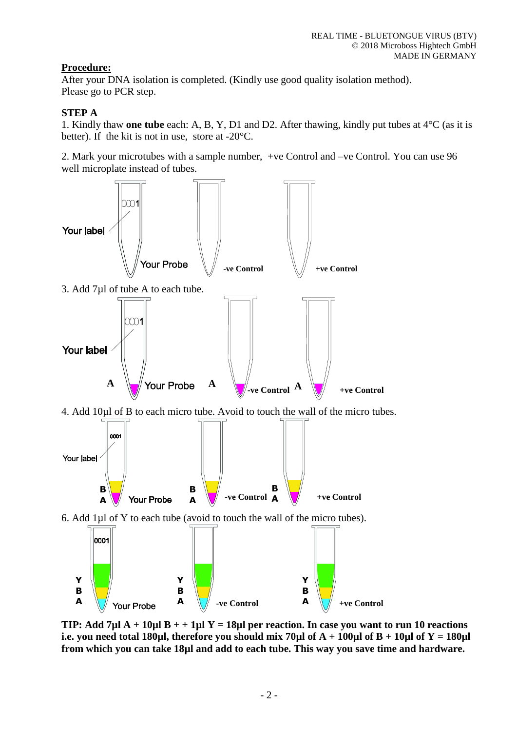## **Procedure:**

After your DNA isolation is completed. (Kindly use good quality isolation method). Please go to PCR step.

## **STEP A**

1. Kindly thaw **one tube** each: A, B, Y, D1 and D2. After thawing, kindly put tubes at 4°C (as it is better). If the kit is not in use, store at -20°C.

2. Mark your microtubes with a sample number, +ve Control and –ve Control. You can use 96 well microplate instead of tubes.



**TIP: Add 7µl A + 10µl B + + 1µl Y = 18µl per reaction. In case you want to run 10 reactions i.e. you need total 180µl, therefore you should mix 70µl of**  $A + 100\mu$ **l of**  $B + 10\mu$ **l of**  $Y = 180\mu$ **l from which you can take 18µl and add to each tube. This way you save time and hardware.**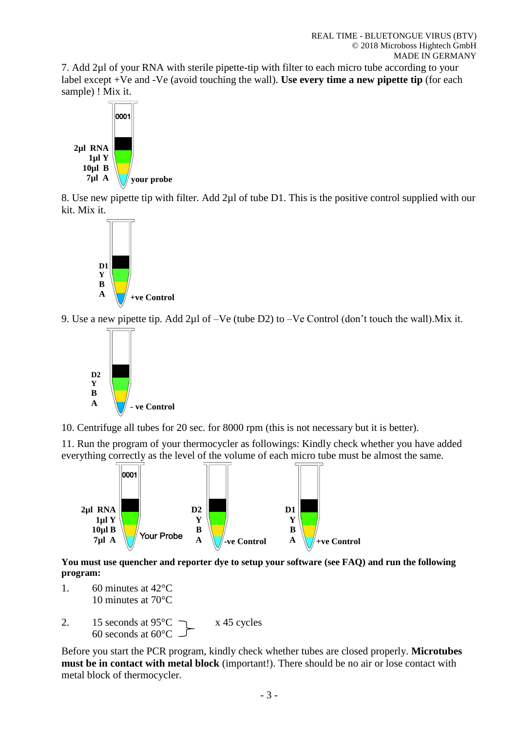7. Add 2µl of your RNA with sterile pipette-tip with filter to each micro tube according to your label except +Ve and -Ve (avoid touching the wall). **Use every time a new pipette tip** (for each sample) ! Mix it.



8. Use new pipette tip with filter. Add 2µl of tube D1. This is the positive control supplied with our kit. Mix it.



9. Use a new pipette tip. Add 2µl of –Ve (tube D2) to –Ve Control (don't touch the wall).Mix it.



10. Centrifuge all tubes for 20 sec. for 8000 rpm (this is not necessary but it is better).

11. Run the program of your thermocycler as followings: Kindly check whether you have added everything correctly as the level of the volume of each micro tube must be almost the same.



**You must use quencher and reporter dye to setup your software (see FAQ) and run the following program:**

- 1. 60 minutes at 42°C 10 minutes at 70°C
- 2. 15 seconds at  $95^{\circ}$ C  $\rightarrow x$  45 cycles 60 seconds at 60°C

Before you start the PCR program, kindly check whether tubes are closed properly. **Microtubes must be in contact with metal block** (important!). There should be no air or lose contact with metal block of thermocycler.